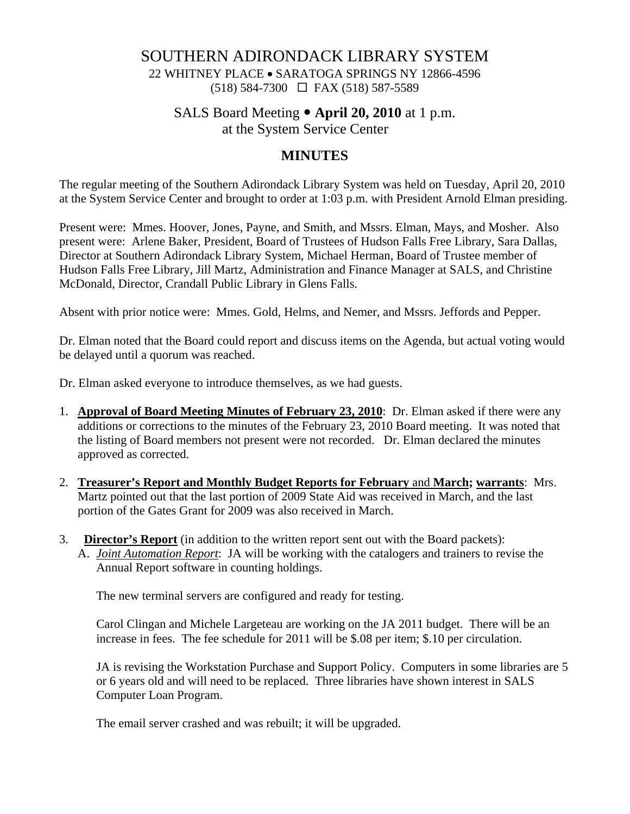## SOUTHERN ADIRONDACK LIBRARY SYSTEM

22 WHITNEY PLACE • SARATOGA SPRINGS NY 12866-4596 (518) 584-7300 FAX (518) 587-5589

# SALS Board Meeting • **April 20, 2010** at 1 p.m.

at the System Service Center

## **MINUTES**

The regular meeting of the Southern Adirondack Library System was held on Tuesday, April 20, 2010 at the System Service Center and brought to order at 1:03 p.m. with President Arnold Elman presiding.

Present were: Mmes. Hoover, Jones, Payne, and Smith, and Mssrs. Elman, Mays, and Mosher. Also present were: Arlene Baker, President, Board of Trustees of Hudson Falls Free Library, Sara Dallas, Director at Southern Adirondack Library System, Michael Herman, Board of Trustee member of Hudson Falls Free Library, Jill Martz, Administration and Finance Manager at SALS, and Christine McDonald, Director, Crandall Public Library in Glens Falls.

Absent with prior notice were: Mmes. Gold, Helms, and Nemer, and Mssrs. Jeffords and Pepper.

Dr. Elman noted that the Board could report and discuss items on the Agenda, but actual voting would be delayed until a quorum was reached.

Dr. Elman asked everyone to introduce themselves, as we had guests.

- 1. **Approval of Board Meeting Minutes of February 23, 2010**: Dr. Elman asked if there were any additions or corrections to the minutes of the February 23, 2010 Board meeting. It was noted that the listing of Board members not present were not recorded. Dr. Elman declared the minutes approved as corrected.
- 2. **Treasurer's Report and Monthly Budget Reports for February** and **March; warrants**: Mrs. Martz pointed out that the last portion of 2009 State Aid was received in March, and the last portion of the Gates Grant for 2009 was also received in March.
- 3. **Director's Report** (in addition to the written report sent out with the Board packets):
	- A. *Joint Automation Report*: JA will be working with the catalogers and trainers to revise the Annual Report software in counting holdings.

The new terminal servers are configured and ready for testing.

Carol Clingan and Michele Largeteau are working on the JA 2011 budget. There will be an increase in fees. The fee schedule for 2011 will be \$.08 per item; \$.10 per circulation.

JA is revising the Workstation Purchase and Support Policy. Computers in some libraries are 5 or 6 years old and will need to be replaced. Three libraries have shown interest in SALS Computer Loan Program.

The email server crashed and was rebuilt; it will be upgraded.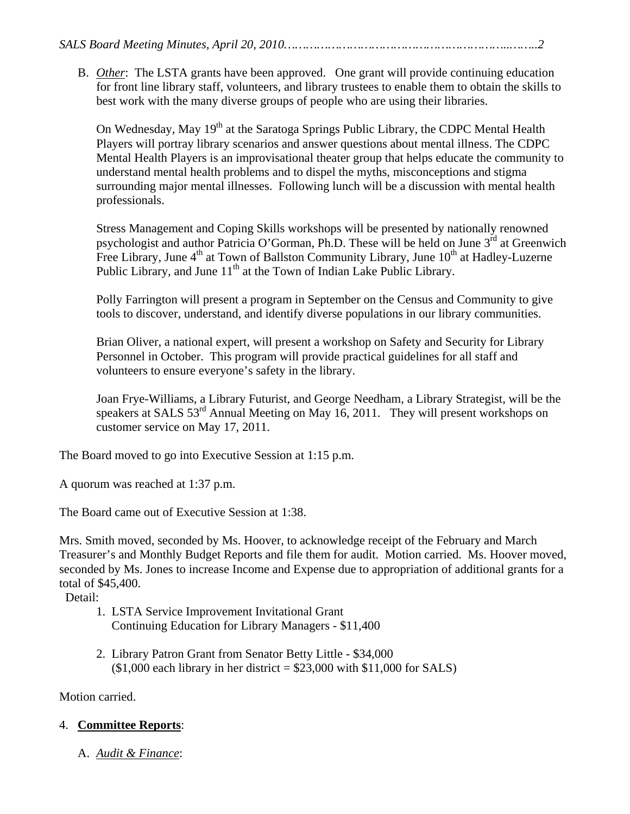B. *Other*: The LSTA grants have been approved. One grant will provide continuing education for front line library staff, volunteers, and library trustees to enable them to obtain the skills to best work with the many diverse groups of people who are using their libraries.

On Wednesday, May 19<sup>th</sup> at the Saratoga Springs Public Library, the CDPC Mental Health Players will portray library scenarios and answer questions about mental illness. The CDPC Mental Health Players is an improvisational theater group that helps educate the community to understand mental health problems and to dispel the myths, misconceptions and stigma surrounding major mental illnesses. Following lunch will be a discussion with mental health professionals.

Stress Management and Coping Skills workshops will be presented by nationally renowned psychologist and author Patricia O'Gorman, Ph.D. These will be held on June  $3<sup>rd</sup>$  at Greenwich Free Library, June  $4<sup>th</sup>$  at Town of Ballston Community Library, June  $10<sup>th</sup>$  at Hadley-Luzerne Public Library, and June  $11<sup>th</sup>$  at the Town of Indian Lake Public Library.

Polly Farrington will present a program in September on the Census and Community to give tools to discover, understand, and identify diverse populations in our library communities.

Brian Oliver, a national expert, will present a workshop on Safety and Security for Library Personnel in October. This program will provide practical guidelines for all staff and volunteers to ensure everyone's safety in the library.

Joan Frye-Williams, a Library Futurist, and George Needham, a Library Strategist, will be the speakers at SALS 53<sup>rd</sup> Annual Meeting on May 16, 2011. They will present workshops on customer service on May 17, 2011.

The Board moved to go into Executive Session at 1:15 p.m.

A quorum was reached at 1:37 p.m.

The Board came out of Executive Session at 1:38.

Mrs. Smith moved, seconded by Ms. Hoover, to acknowledge receipt of the February and March Treasurer's and Monthly Budget Reports and file them for audit. Motion carried. Ms. Hoover moved, seconded by Ms. Jones to increase Income and Expense due to appropriation of additional grants for a total of \$45,400.

Detail:

- 1. LSTA Service Improvement Invitational Grant Continuing Education for Library Managers - \$11,400
- 2. Library Patron Grant from Senator Betty Little \$34,000  $($1,000$  each library in her district = \$23,000 with \$11,000 for SALS)

Motion carried.

## 4. **Committee Reports**:

A. *Audit & Finance*: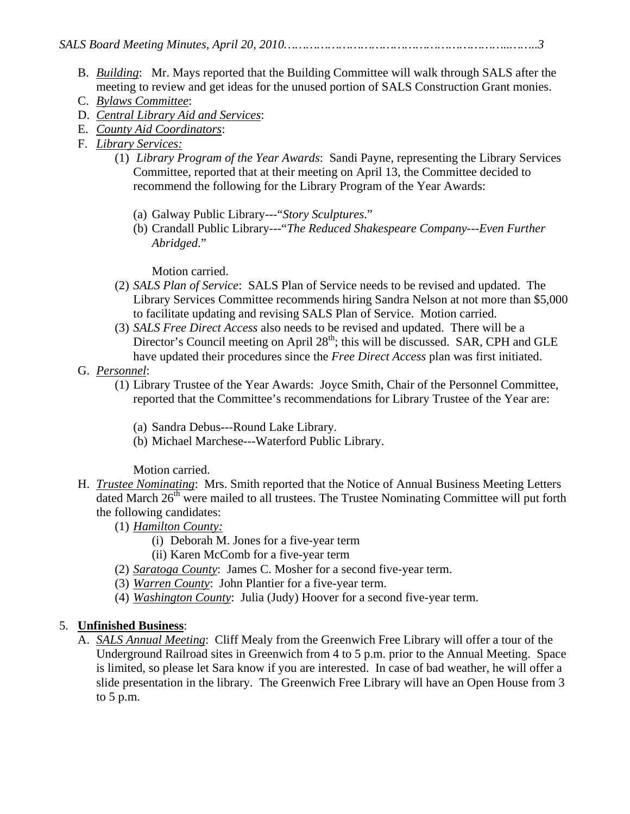- B. *Building*: Mr. Mays reported that the Building Committee will walk through SALS after the meeting to review and get ideas for the unused portion of SALS Construction Grant monies.
- C. *Bylaws Committee*:
- D. *Central Library Aid and Services*:
- E. *County Aid Coordinators*:
- F. *Library Services:*
	- (1) *Library Program of the Year Awards*: Sandi Payne, representing the Library Services Committee, reported that at their meeting on April 13, the Committee decided to recommend the following for the Library Program of the Year Awards:
		- (a) Galway Public Library---"*Story Sculptures*."
		- (b) Crandall Public Library---"*The Reduced Shakespeare Company---Even Further Abridged*."

Motion carried.

- (2) *SALS Plan of Service*: SALS Plan of Service needs to be revised and updated. The Library Services Committee recommends hiring Sandra Nelson at not more than \$5,000 to facilitate updating and revising SALS Plan of Service. Motion carried.
- (3) *SALS Free Direct Access* also needs to be revised and updated. There will be a Director's Council meeting on April 28<sup>th</sup>; this will be discussed. SAR, CPH and GLE have updated their procedures since the *Free Direct Access* plan was first initiated.
- G. *Personnel*:
	- (1) Library Trustee of the Year Awards: Joyce Smith, Chair of the Personnel Committee, reported that the Committee's recommendations for Library Trustee of the Year are:
		- (a) Sandra Debus---Round Lake Library.
		- (b) Michael Marchese---Waterford Public Library.

Motion carried.

- H. *Trustee Nominating*: Mrs. Smith reported that the Notice of Annual Business Meeting Letters dated March  $26<sup>th</sup>$  were mailed to all trustees. The Trustee Nominating Committee will put forth the following candidates:
	- (1) *Hamilton County:*
		- (i) Deborah M. Jones for a five-year term
		- (ii) Karen McComb for a five-year term
	- (2) *Saratoga County*: James C. Mosher for a second five-year term.
	- (3) *Warren County*: John Plantier for a five-year term.
	- (4) *Washington County*: Julia (Judy) Hoover for a second five-year term.

# 5. **Unfinished Business**:

A. *SALS Annual Meeting*: Cliff Mealy from the Greenwich Free Library will offer a tour of the Underground Railroad sites in Greenwich from 4 to 5 p.m. prior to the Annual Meeting. Space is limited, so please let Sara know if you are interested. In case of bad weather, he will offer a slide presentation in the library. The Greenwich Free Library will have an Open House from 3 to 5 p.m.